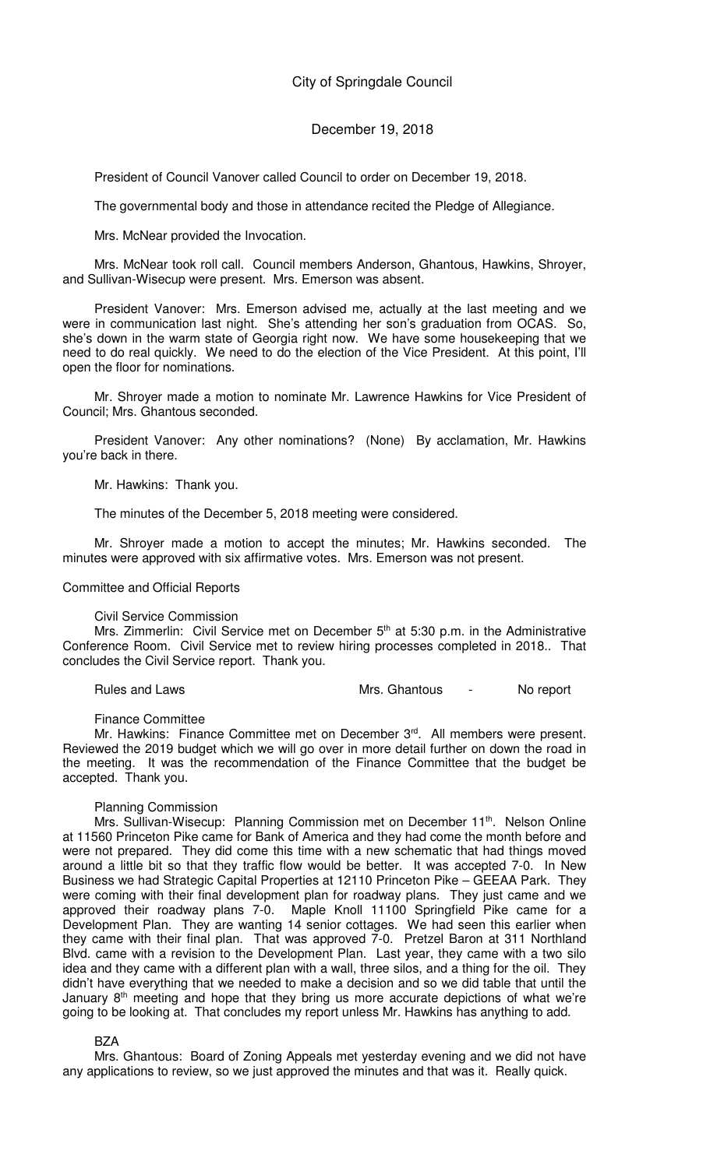### December 19, 2018

President of Council Vanover called Council to order on December 19, 2018.

The governmental body and those in attendance recited the Pledge of Allegiance.

Mrs. McNear provided the Invocation.

Mrs. McNear took roll call. Council members Anderson, Ghantous, Hawkins, Shroyer, and Sullivan-Wisecup were present. Mrs. Emerson was absent.

President Vanover: Mrs. Emerson advised me, actually at the last meeting and we were in communication last night. She's attending her son's graduation from OCAS. So, she's down in the warm state of Georgia right now. We have some housekeeping that we need to do real quickly. We need to do the election of the Vice President. At this point, I'll open the floor for nominations.

Mr. Shroyer made a motion to nominate Mr. Lawrence Hawkins for Vice President of Council; Mrs. Ghantous seconded.

President Vanover: Any other nominations? (None) By acclamation, Mr. Hawkins you're back in there.

Mr. Hawkins: Thank you.

The minutes of the December 5, 2018 meeting were considered.

Mr. Shroyer made a motion to accept the minutes; Mr. Hawkins seconded. The minutes were approved with six affirmative votes. Mrs. Emerson was not present.

#### Committee and Official Reports

#### Civil Service Commission

Mrs. Zimmerlin: Civil Service met on December  $5<sup>th</sup>$  at  $5:30$  p.m. in the Administrative Conference Room. Civil Service met to review hiring processes completed in 2018.. That concludes the Civil Service report. Thank you.

Rules and Laws **Mrs. Ghantous** - No report

Finance Committee

Mr. Hawkins: Finance Committee met on December 3rd. All members were present. Reviewed the 2019 budget which we will go over in more detail further on down the road in the meeting. It was the recommendation of the Finance Committee that the budget be accepted. Thank you.

#### Planning Commission

Mrs. Sullivan-Wisecup: Planning Commission met on December 11<sup>th</sup>. Nelson Online at 11560 Princeton Pike came for Bank of America and they had come the month before and were not prepared. They did come this time with a new schematic that had things moved around a little bit so that they traffic flow would be better. It was accepted 7-0. In New Business we had Strategic Capital Properties at 12110 Princeton Pike – GEEAA Park. They were coming with their final development plan for roadway plans. They just came and we approved their roadway plans 7-0. Maple Knoll 11100 Springfield Pike came for a Development Plan. They are wanting 14 senior cottages. We had seen this earlier when they came with their final plan. That was approved 7-0. Pretzel Baron at 311 Northland Blvd. came with a revision to the Development Plan. Last year, they came with a two silo idea and they came with a different plan with a wall, three silos, and a thing for the oil. They didn't have everything that we needed to make a decision and so we did table that until the January 8<sup>th</sup> meeting and hope that they bring us more accurate depictions of what we're going to be looking at. That concludes my report unless Mr. Hawkins has anything to add.

#### BZA

Mrs. Ghantous: Board of Zoning Appeals met yesterday evening and we did not have any applications to review, so we just approved the minutes and that was it. Really quick.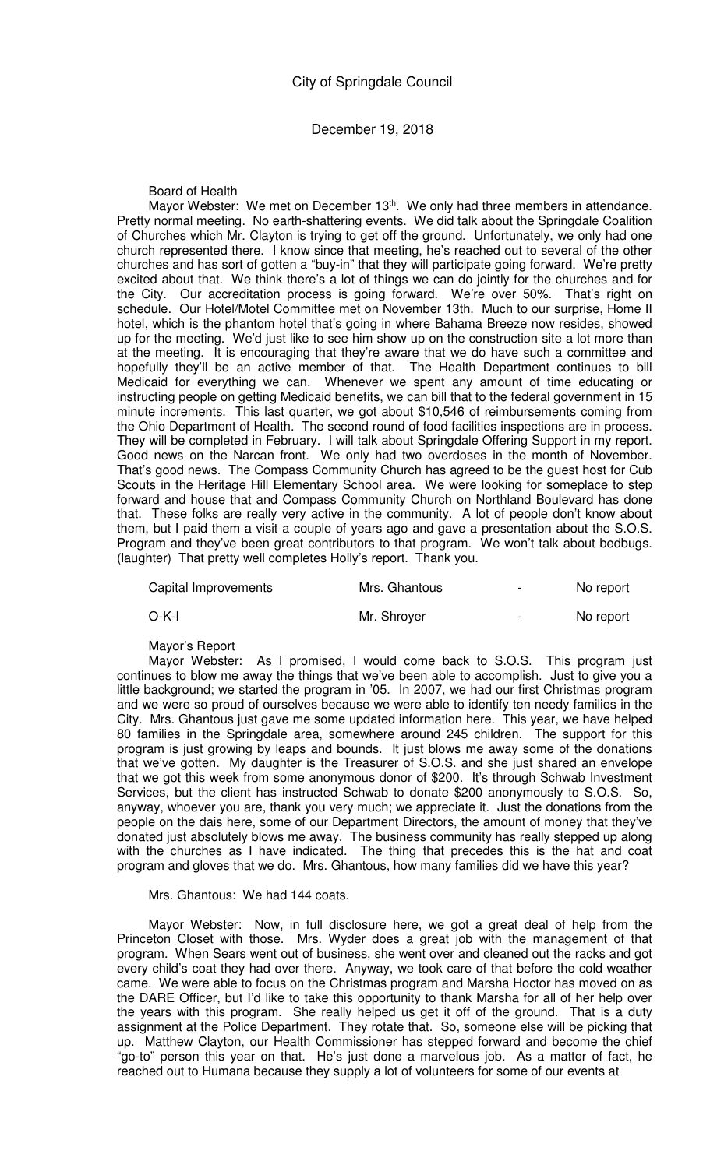Board of Health

Mayor Webster: We met on December 13<sup>th</sup>. We only had three members in attendance. Pretty normal meeting. No earth-shattering events. We did talk about the Springdale Coalition of Churches which Mr. Clayton is trying to get off the ground. Unfortunately, we only had one church represented there. I know since that meeting, he's reached out to several of the other churches and has sort of gotten a "buy-in" that they will participate going forward. We're pretty excited about that. We think there's a lot of things we can do jointly for the churches and for the City. Our accreditation process is going forward. We're over 50%. That's right on schedule. Our Hotel/Motel Committee met on November 13th. Much to our surprise, Home II hotel, which is the phantom hotel that's going in where Bahama Breeze now resides, showed up for the meeting. We'd just like to see him show up on the construction site a lot more than at the meeting. It is encouraging that they're aware that we do have such a committee and hopefully they'll be an active member of that. The Health Department continues to bill Medicaid for everything we can. Whenever we spent any amount of time educating or instructing people on getting Medicaid benefits, we can bill that to the federal government in 15 minute increments. This last quarter, we got about \$10,546 of reimbursements coming from the Ohio Department of Health. The second round of food facilities inspections are in process. They will be completed in February. I will talk about Springdale Offering Support in my report. Good news on the Narcan front. We only had two overdoses in the month of November. That's good news. The Compass Community Church has agreed to be the guest host for Cub Scouts in the Heritage Hill Elementary School area. We were looking for someplace to step forward and house that and Compass Community Church on Northland Boulevard has done that. These folks are really very active in the community. A lot of people don't know about them, but I paid them a visit a couple of years ago and gave a presentation about the S.O.S. Program and they've been great contributors to that program. We won't talk about bedbugs. (laughter) That pretty well completes Holly's report. Thank you.

| Capital Improvements | Mrs. Ghantous | $\overline{\phantom{0}}$ | No report |
|----------------------|---------------|--------------------------|-----------|
| O-K-I                | Mr. Shroyer   | $\overline{\phantom{0}}$ | No report |

Mayor's Report

Mayor Webster: As I promised, I would come back to S.O.S. This program just continues to blow me away the things that we've been able to accomplish. Just to give you a little background; we started the program in '05. In 2007, we had our first Christmas program and we were so proud of ourselves because we were able to identify ten needy families in the City. Mrs. Ghantous just gave me some updated information here. This year, we have helped 80 families in the Springdale area, somewhere around 245 children. The support for this program is just growing by leaps and bounds. It just blows me away some of the donations that we've gotten. My daughter is the Treasurer of S.O.S. and she just shared an envelope that we got this week from some anonymous donor of \$200. It's through Schwab Investment Services, but the client has instructed Schwab to donate \$200 anonymously to S.O.S. So, anyway, whoever you are, thank you very much; we appreciate it. Just the donations from the people on the dais here, some of our Department Directors, the amount of money that they've donated just absolutely blows me away. The business community has really stepped up along with the churches as I have indicated. The thing that precedes this is the hat and coat program and gloves that we do. Mrs. Ghantous, how many families did we have this year?

#### Mrs. Ghantous: We had 144 coats.

Mayor Webster: Now, in full disclosure here, we got a great deal of help from the Princeton Closet with those. Mrs. Wyder does a great job with the management of that program. When Sears went out of business, she went over and cleaned out the racks and got every child's coat they had over there. Anyway, we took care of that before the cold weather came. We were able to focus on the Christmas program and Marsha Hoctor has moved on as the DARE Officer, but I'd like to take this opportunity to thank Marsha for all of her help over the years with this program. She really helped us get it off of the ground. That is a duty assignment at the Police Department. They rotate that. So, someone else will be picking that up. Matthew Clayton, our Health Commissioner has stepped forward and become the chief "go-to" person this year on that. He's just done a marvelous job. As a matter of fact, he reached out to Humana because they supply a lot of volunteers for some of our events at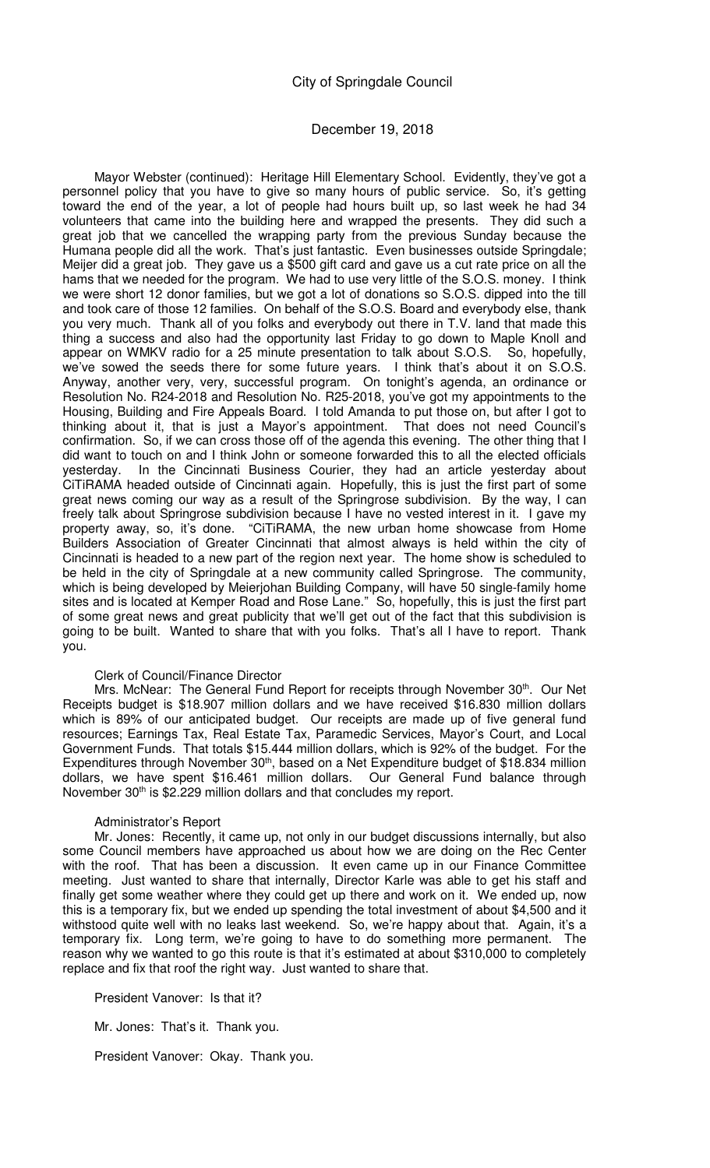# December 19, 2018

Mayor Webster (continued): Heritage Hill Elementary School. Evidently, they've got a personnel policy that you have to give so many hours of public service. So, it's getting toward the end of the year, a lot of people had hours built up, so last week he had 34 volunteers that came into the building here and wrapped the presents. They did such a great job that we cancelled the wrapping party from the previous Sunday because the Humana people did all the work. That's just fantastic. Even businesses outside Springdale; Meijer did a great job. They gave us a \$500 gift card and gave us a cut rate price on all the hams that we needed for the program. We had to use very little of the S.O.S. money. I think we were short 12 donor families, but we got a lot of donations so S.O.S. dipped into the till and took care of those 12 families. On behalf of the S.O.S. Board and everybody else, thank you very much. Thank all of you folks and everybody out there in T.V. land that made this thing a success and also had the opportunity last Friday to go down to Maple Knoll and appear on WMKV radio for a 25 minute presentation to talk about S.O.S. So, hopefully, we've sowed the seeds there for some future years. I think that's about it on S.O.S. Anyway, another very, very, successful program. On tonight's agenda, an ordinance or Resolution No. R24-2018 and Resolution No. R25-2018, you've got my appointments to the Housing, Building and Fire Appeals Board. I told Amanda to put those on, but after I got to thinking about it, that is just a Mayor's appointment. That does not need Council's confirmation. So, if we can cross those off of the agenda this evening. The other thing that I did want to touch on and I think John or someone forwarded this to all the elected officials yesterday. In the Cincinnati Business Courier, they had an article yesterday about CiTiRAMA headed outside of Cincinnati again. Hopefully, this is just the first part of some great news coming our way as a result of the Springrose subdivision. By the way, I can freely talk about Springrose subdivision because I have no vested interest in it. I gave my property away, so, it's done. "CiTiRAMA, the new urban home showcase from Home Builders Association of Greater Cincinnati that almost always is held within the city of Cincinnati is headed to a new part of the region next year. The home show is scheduled to be held in the city of Springdale at a new community called Springrose. The community, which is being developed by Meierjohan Building Company, will have 50 single-family home sites and is located at Kemper Road and Rose Lane." So, hopefully, this is just the first part of some great news and great publicity that we'll get out of the fact that this subdivision is going to be built. Wanted to share that with you folks. That's all I have to report. Thank you.

### Clerk of Council/Finance Director

Mrs. McNear: The General Fund Report for receipts through November 30<sup>th</sup>. Our Net Receipts budget is \$18.907 million dollars and we have received \$16.830 million dollars which is 89% of our anticipated budget. Our receipts are made up of five general fund resources; Earnings Tax, Real Estate Tax, Paramedic Services, Mayor's Court, and Local Government Funds. That totals \$15.444 million dollars, which is 92% of the budget. For the Expenditures through November 30<sup>th</sup>, based on a Net Expenditure budget of \$18.834 million dollars, we have spent \$16.461 million dollars. Our General Fund balance through November 30<sup>th</sup> is \$2.229 million dollars and that concludes my report.

## Administrator's Report

Mr. Jones: Recently, it came up, not only in our budget discussions internally, but also some Council members have approached us about how we are doing on the Rec Center with the roof. That has been a discussion. It even came up in our Finance Committee meeting. Just wanted to share that internally, Director Karle was able to get his staff and finally get some weather where they could get up there and work on it. We ended up, now this is a temporary fix, but we ended up spending the total investment of about \$4,500 and it withstood quite well with no leaks last weekend. So, we're happy about that. Again, it's a temporary fix. Long term, we're going to have to do something more permanent. The reason why we wanted to go this route is that it's estimated at about \$310,000 to completely replace and fix that roof the right way. Just wanted to share that.

President Vanover: Is that it?

Mr. Jones: That's it. Thank you.

President Vanover: Okay. Thank you.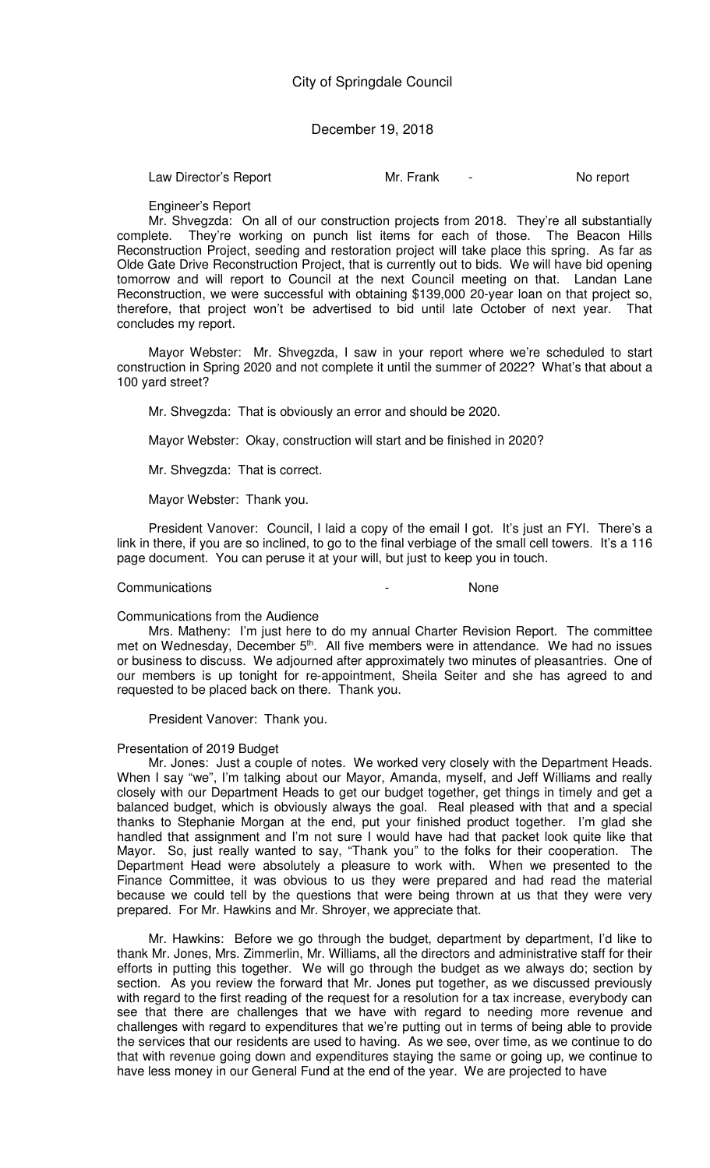Law Director's Report **Mr. Frank** - No report

Engineer's Report

Mr. Shvegzda: On all of our construction projects from 2018. They're all substantially complete. They're working on punch list items for each of those. The Beacon Hills Reconstruction Project, seeding and restoration project will take place this spring. As far as Olde Gate Drive Reconstruction Project, that is currently out to bids. We will have bid opening tomorrow and will report to Council at the next Council meeting on that. Landan Lane Reconstruction, we were successful with obtaining \$139,000 20-year loan on that project so, therefore, that project won't be advertised to bid until late October of next year. That concludes my report.

Mayor Webster: Mr. Shvegzda, I saw in your report where we're scheduled to start construction in Spring 2020 and not complete it until the summer of 2022? What's that about a 100 yard street?

Mr. Shvegzda: That is obviously an error and should be 2020.

Mayor Webster: Okay, construction will start and be finished in 2020?

Mr. Shvegzda: That is correct.

Mayor Webster: Thank you.

President Vanover: Council, I laid a copy of the email I got. It's just an FYI. There's a link in there, if you are so inclined, to go to the final verbiage of the small cell towers. It's a 116 page document. You can peruse it at your will, but just to keep you in touch.

### Communications - None

## Communications from the Audience

Mrs. Matheny: I'm just here to do my annual Charter Revision Report. The committee met on Wednesday, December 5<sup>th</sup>. All five members were in attendance. We had no issues or business to discuss. We adjourned after approximately two minutes of pleasantries. One of our members is up tonight for re-appointment, Sheila Seiter and she has agreed to and requested to be placed back on there. Thank you.

President Vanover: Thank you.

### Presentation of 2019 Budget

Mr. Jones: Just a couple of notes. We worked very closely with the Department Heads. When I say "we", I'm talking about our Mayor, Amanda, myself, and Jeff Williams and really closely with our Department Heads to get our budget together, get things in timely and get a balanced budget, which is obviously always the goal. Real pleased with that and a special thanks to Stephanie Morgan at the end, put your finished product together. I'm glad she handled that assignment and I'm not sure I would have had that packet look quite like that Mayor. So, just really wanted to say, "Thank you" to the folks for their cooperation. The Department Head were absolutely a pleasure to work with. When we presented to the Finance Committee, it was obvious to us they were prepared and had read the material because we could tell by the questions that were being thrown at us that they were very prepared. For Mr. Hawkins and Mr. Shroyer, we appreciate that.

Mr. Hawkins: Before we go through the budget, department by department, I'd like to thank Mr. Jones, Mrs. Zimmerlin, Mr. Williams, all the directors and administrative staff for their efforts in putting this together. We will go through the budget as we always do; section by section. As you review the forward that Mr. Jones put together, as we discussed previously with regard to the first reading of the request for a resolution for a tax increase, everybody can see that there are challenges that we have with regard to needing more revenue and challenges with regard to expenditures that we're putting out in terms of being able to provide the services that our residents are used to having. As we see, over time, as we continue to do that with revenue going down and expenditures staying the same or going up, we continue to have less money in our General Fund at the end of the year. We are projected to have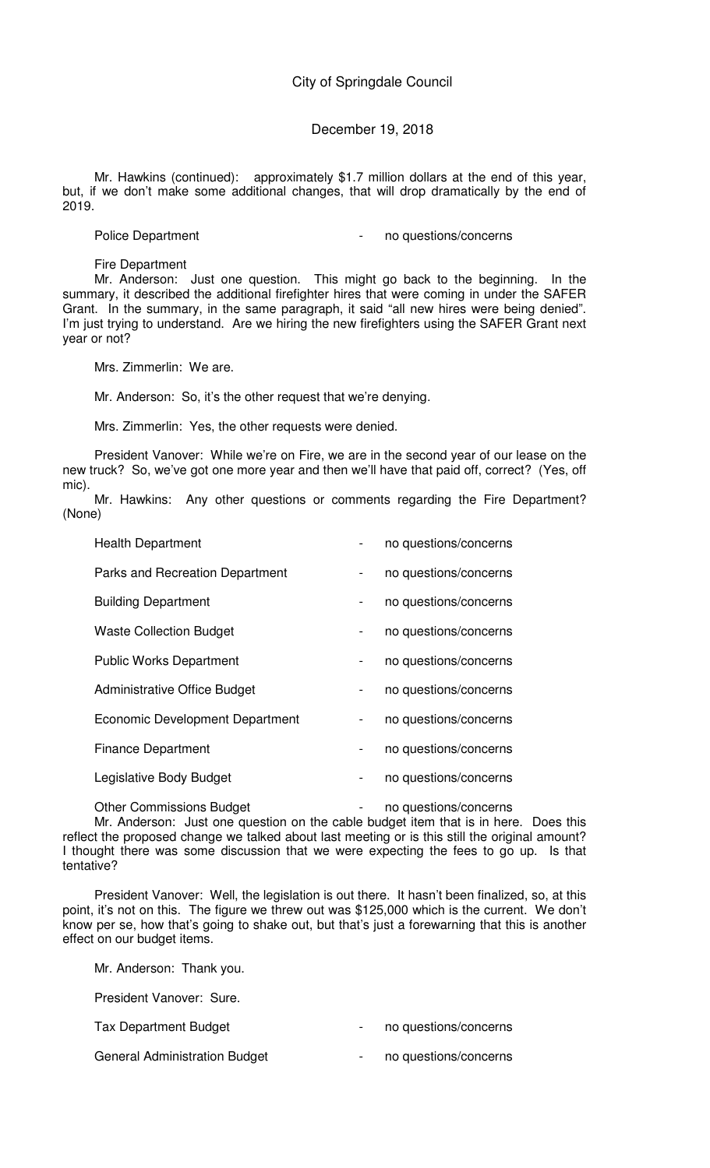# December 19, 2018

Mr. Hawkins (continued): approximately \$1.7 million dollars at the end of this year, but, if we don't make some additional changes, that will drop dramatically by the end of 2019.

Police Department **Police Department**  $\qquad \qquad -$  no questions/concerns

Fire Department

Mr. Anderson: Just one question. This might go back to the beginning. In the summary, it described the additional firefighter hires that were coming in under the SAFER Grant. In the summary, in the same paragraph, it said "all new hires were being denied". I'm just trying to understand. Are we hiring the new firefighters using the SAFER Grant next year or not?

Mrs. Zimmerlin: We are.

Mr. Anderson: So, it's the other request that we're denying.

Mrs. Zimmerlin: Yes, the other requests were denied.

President Vanover: While we're on Fire, we are in the second year of our lease on the new truck? So, we've got one more year and then we'll have that paid off, correct? (Yes, off mic).

Mr. Hawkins: Any other questions or comments regarding the Fire Department? (None)

| <b>Health Department</b>               |                | no questions/concerns |
|----------------------------------------|----------------|-----------------------|
| <b>Parks and Recreation Department</b> | $\blacksquare$ | no questions/concerns |
| <b>Building Department</b>             |                | no questions/concerns |
| <b>Waste Collection Budget</b>         | $\blacksquare$ | no questions/concerns |
| <b>Public Works Department</b>         | $\blacksquare$ | no questions/concerns |
| <b>Administrative Office Budget</b>    | -              | no questions/concerns |
| <b>Economic Development Department</b> | $\blacksquare$ | no questions/concerns |
| <b>Finance Department</b>              |                | no questions/concerns |
| Legislative Body Budget                |                | no questions/concerns |

Other Commissions Budget - no questions/concerns

Mr. Anderson: Just one question on the cable budget item that is in here. Does this reflect the proposed change we talked about last meeting or is this still the original amount? I thought there was some discussion that we were expecting the fees to go up. Is that tentative?

President Vanover: Well, the legislation is out there. It hasn't been finalized, so, at this point, it's not on this. The figure we threw out was \$125,000 which is the current. We don't know per se, how that's going to shake out, but that's just a forewarning that this is another effect on our budget items.

Mr. Anderson: Thank you.

President Vanover: Sure.

Tax Department Budget **and Tax Department Budget and Tax Department Budget** 

General Administration Budget **concerns** and all the no questions/concerns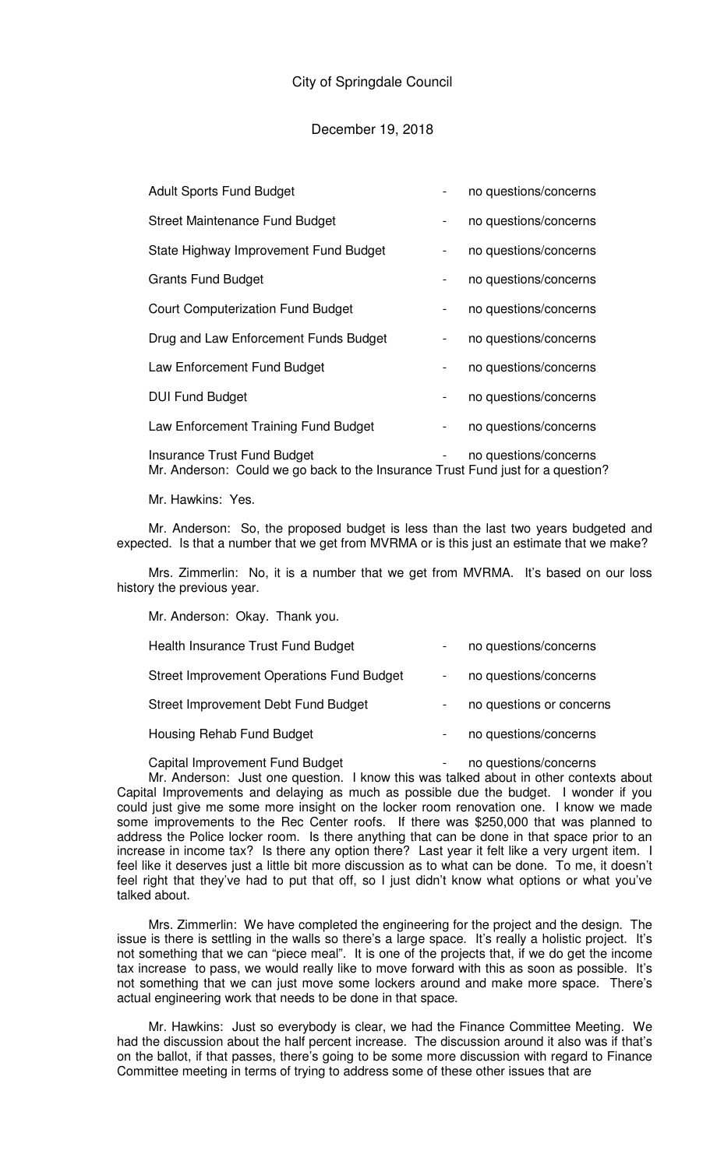| <b>Adult Sports Fund Budget</b>                                                                                       | no questions/concerns |
|-----------------------------------------------------------------------------------------------------------------------|-----------------------|
| <b>Street Maintenance Fund Budget</b>                                                                                 | no questions/concerns |
| State Highway Improvement Fund Budget                                                                                 | no questions/concerns |
| <b>Grants Fund Budget</b>                                                                                             | no questions/concerns |
| <b>Court Computerization Fund Budget</b>                                                                              | no questions/concerns |
| Drug and Law Enforcement Funds Budget                                                                                 | no questions/concerns |
| Law Enforcement Fund Budget                                                                                           | no questions/concerns |
| <b>DUI Fund Budget</b>                                                                                                | no questions/concerns |
| Law Enforcement Training Fund Budget                                                                                  | no questions/concerns |
| <b>Insurance Trust Fund Budget</b><br>Mr. Anderson: Could we go back to the Insurance Trust Fund just for a question? | no questions/concerns |

Mr. Hawkins: Yes.

Mr. Anderson: So, the proposed budget is less than the last two years budgeted and expected. Is that a number that we get from MVRMA or is this just an estimate that we make?

Mrs. Zimmerlin: No, it is a number that we get from MVRMA. It's based on our loss history the previous year.

Mr. Anderson: Okay. Thank you.

| Health Insurance Trust Fund Budget               | no questions/concerns    |
|--------------------------------------------------|--------------------------|
| <b>Street Improvement Operations Fund Budget</b> | no questions/concerns    |
| Street Improvement Debt Fund Budget              | no questions or concerns |
| Housing Rehab Fund Budget                        | no questions/concerns    |
|                                                  |                          |

Capital Improvement Fund Budget **- Frankling** - no questions/concerns

Mr. Anderson: Just one question. I know this was talked about in other contexts about Capital Improvements and delaying as much as possible due the budget. I wonder if you could just give me some more insight on the locker room renovation one. I know we made some improvements to the Rec Center roofs. If there was \$250,000 that was planned to address the Police locker room. Is there anything that can be done in that space prior to an increase in income tax? Is there any option there? Last year it felt like a very urgent item. I feel like it deserves just a little bit more discussion as to what can be done. To me, it doesn't feel right that they've had to put that off, so I just didn't know what options or what you've talked about.

Mrs. Zimmerlin: We have completed the engineering for the project and the design. The issue is there is settling in the walls so there's a large space. It's really a holistic project. It's not something that we can "piece meal". It is one of the projects that, if we do get the income tax increase to pass, we would really like to move forward with this as soon as possible. It's not something that we can just move some lockers around and make more space. There's actual engineering work that needs to be done in that space.

Mr. Hawkins: Just so everybody is clear, we had the Finance Committee Meeting. We had the discussion about the half percent increase. The discussion around it also was if that's on the ballot, if that passes, there's going to be some more discussion with regard to Finance Committee meeting in terms of trying to address some of these other issues that are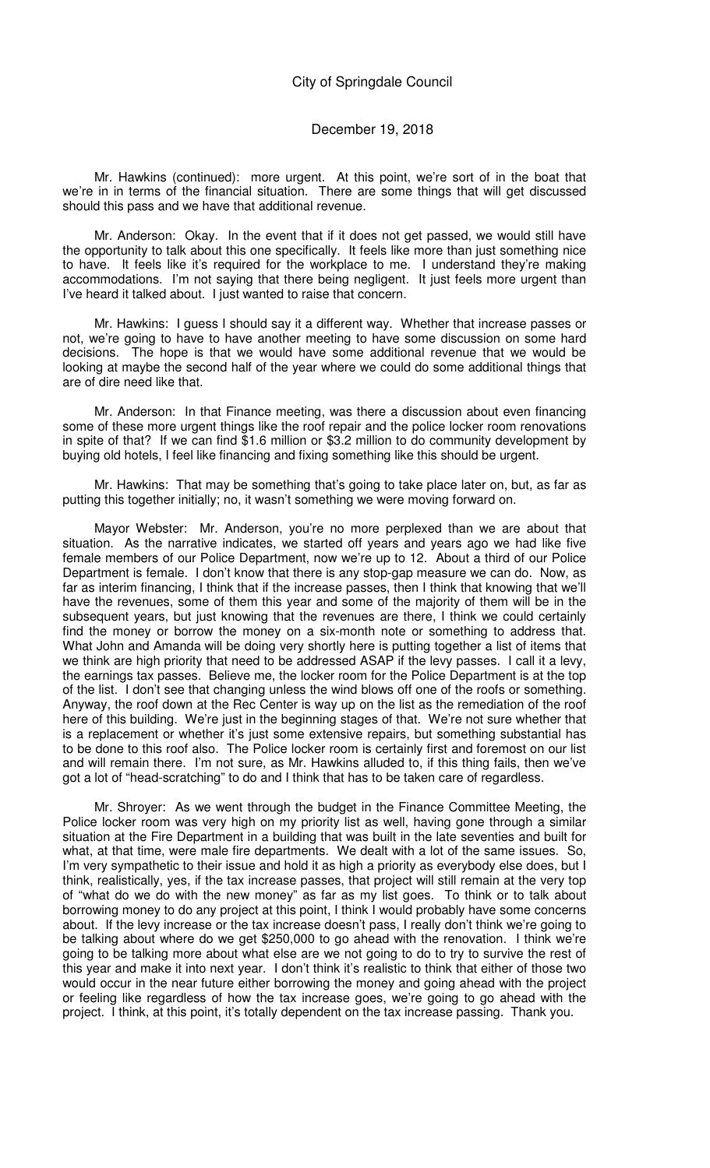### December 19, 2018

Mr. Hawkins (continued): more urgent. At this point, we're sort of in the boat that we're in in terms of the financial situation. There are some things that will get discussed should this pass and we have that additional revenue.

Mr. Anderson: Okay. In the event that if it does not get passed, we would still have the opportunity to talk about this one specifically. It feels like more than just something nice to have. It feels like it's required for the workplace to me. I understand they're making accommodations. I'm not saying that there being negligent. It just feels more urgent than I've heard it talked about. I just wanted to raise that concern.

Mr. Hawkins: I guess I should say it a different way. Whether that increase passes or not, we're going to have to have another meeting to have some discussion on some hard decisions. The hope is that we would have some additional revenue that we would be looking at maybe the second half of the year where we could do some additional things that are of dire need like that.

Mr. Anderson: In that Finance meeting, was there a discussion about even financing some of these more urgent things like the roof repair and the police locker room renovations in spite of that? If we can find \$1.6 million or \$3.2 million to do community development by buying old hotels, I feel like financing and fixing something like this should be urgent.

Mr. Hawkins: That may be something that's going to take place later on, but, as far as putting this together initially; no, it wasn't something we were moving forward on.

Mayor Webster: Mr. Anderson, you're no more perplexed than we are about that situation. As the narrative indicates, we started off years and years ago we had like five female members of our Police Department, now we're up to 12. About a third of our Police Department is female. I don't know that there is any stop-gap measure we can do. Now, as far as interim financing, I think that if the increase passes, then I think that knowing that we'll have the revenues, some of them this year and some of the majority of them will be in the subsequent years, but just knowing that the revenues are there, I think we could certainly find the money or borrow the money on a six-month note or something to address that. What John and Amanda will be doing very shortly here is putting together a list of items that we think are high priority that need to be addressed ASAP if the levy passes. I call it a levy, the earnings tax passes. Believe me, the locker room for the Police Department is at the top of the list. I don't see that changing unless the wind blows off one of the roofs or something. Anyway, the roof down at the Rec Center is way up on the list as the remediation of the roof here of this building. We're just in the beginning stages of that. We're not sure whether that is a replacement or whether it's just some extensive repairs, but something substantial has to be done to this roof also. The Police locker room is certainly first and foremost on our list and will remain there. I'm not sure, as Mr. Hawkins alluded to, if this thing fails, then we've got a lot of "head-scratching" to do and I think that has to be taken care of regardless.

Mr. Shroyer: As we went through the budget in the Finance Committee Meeting, the Police locker room was very high on my priority list as well, having gone through a similar situation at the Fire Department in a building that was built in the late seventies and built for what, at that time, were male fire departments. We dealt with a lot of the same issues. So, I'm very sympathetic to their issue and hold it as high a priority as everybody else does, but I think, realistically, yes, if the tax increase passes, that project will still remain at the very top of "what do we do with the new money" as far as my list goes. To think or to talk about borrowing money to do any project at this point, I think I would probably have some concerns about. If the levy increase or the tax increase doesn't pass, I really don't think we're going to be talking about where do we get \$250,000 to go ahead with the renovation. I think we're going to be talking more about what else are we not going to do to try to survive the rest of this year and make it into next year. I don't think it's realistic to think that either of those two would occur in the near future either borrowing the money and going ahead with the project or feeling like regardless of how the tax increase goes, we're going to go ahead with the project. I think, at this point, it's totally dependent on the tax increase passing. Thank you.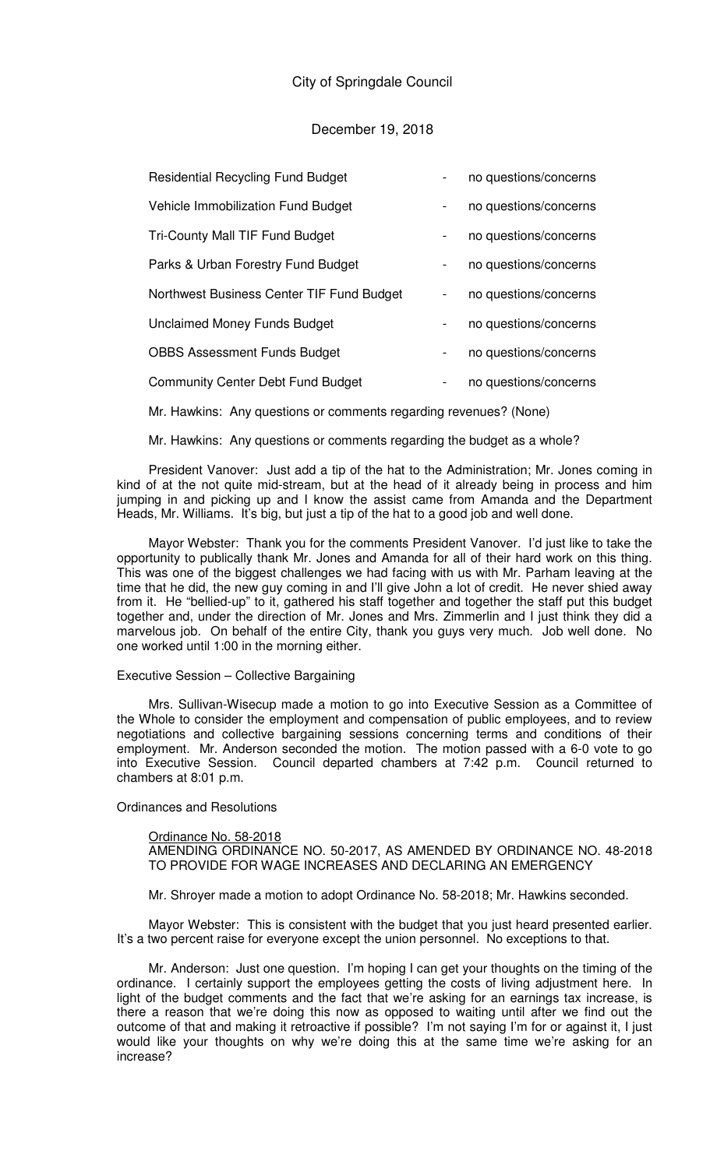# December 19, 2018

| <b>Residential Recycling Fund Budget</b>  |                              | no questions/concerns |
|-------------------------------------------|------------------------------|-----------------------|
| Vehicle Immobilization Fund Budget        | $\blacksquare$               | no questions/concerns |
| <b>Tri-County Mall TIF Fund Budget</b>    | $\blacksquare$               | no questions/concerns |
| Parks & Urban Forestry Fund Budget        | $\blacksquare$               | no questions/concerns |
| Northwest Business Center TIF Fund Budget | $\qquad \qquad \blacksquare$ | no questions/concerns |
| <b>Unclaimed Money Funds Budget</b>       | $\qquad \qquad \blacksquare$ | no questions/concerns |
| <b>OBBS Assessment Funds Budget</b>       | $\blacksquare$               | no questions/concerns |
| <b>Community Center Debt Fund Budget</b>  | $\overline{\phantom{0}}$     | no questions/concerns |

Mr. Hawkins: Any questions or comments regarding revenues? (None)

Mr. Hawkins: Any questions or comments regarding the budget as a whole?

President Vanover: Just add a tip of the hat to the Administration; Mr. Jones coming in kind of at the not quite mid-stream, but at the head of it already being in process and him jumping in and picking up and I know the assist came from Amanda and the Department Heads, Mr. Williams. It's big, but just a tip of the hat to a good job and well done.

Mayor Webster: Thank you for the comments President Vanover. I'd just like to take the opportunity to publically thank Mr. Jones and Amanda for all of their hard work on this thing. This was one of the biggest challenges we had facing with us with Mr. Parham leaving at the time that he did, the new guy coming in and I'll give John a lot of credit. He never shied away from it. He "bellied-up" to it, gathered his staff together and together the staff put this budget together and, under the direction of Mr. Jones and Mrs. Zimmerlin and I just think they did a marvelous job. On behalf of the entire City, thank you guys very much. Job well done. No one worked until 1:00 in the morning either.

### Executive Session – Collective Bargaining

Mrs. Sullivan-Wisecup made a motion to go into Executive Session as a Committee of the Whole to consider the employment and compensation of public employees, and to review negotiations and collective bargaining sessions concerning terms and conditions of their employment. Mr. Anderson seconded the motion. The motion passed with a 6-0 vote to go into Executive Session. Council departed chambers at 7:42 p.m. Council returned to chambers at 8:01 p.m.

## Ordinances and Resolutions

#### Ordinance No. 58-2018

AMENDING ORDINANCE NO. 50-2017, AS AMENDED BY ORDINANCE NO. 48-2018 TO PROVIDE FOR WAGE INCREASES AND DECLARING AN EMERGENCY

Mr. Shroyer made a motion to adopt Ordinance No. 58-2018; Mr. Hawkins seconded.

Mayor Webster: This is consistent with the budget that you just heard presented earlier. It's a two percent raise for everyone except the union personnel. No exceptions to that.

Mr. Anderson: Just one question. I'm hoping I can get your thoughts on the timing of the ordinance. I certainly support the employees getting the costs of living adjustment here. In light of the budget comments and the fact that we're asking for an earnings tax increase, is there a reason that we're doing this now as opposed to waiting until after we find out the outcome of that and making it retroactive if possible? I'm not saying I'm for or against it, I just would like your thoughts on why we're doing this at the same time we're asking for an increase?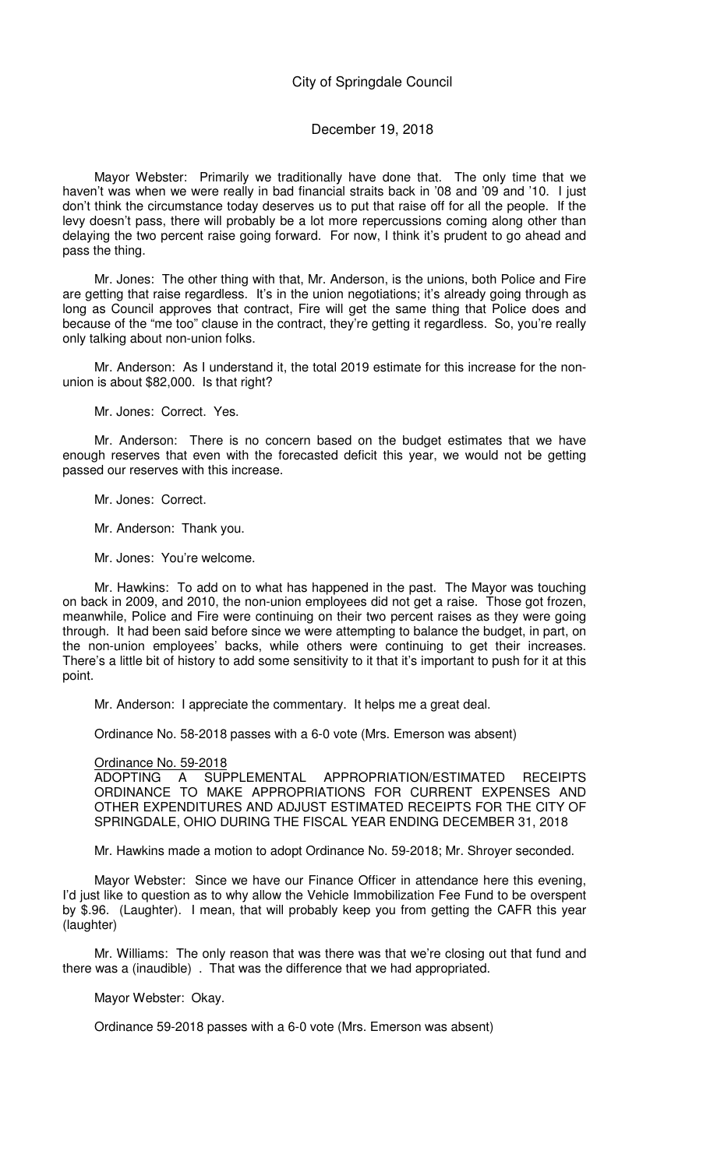# December 19, 2018

Mayor Webster: Primarily we traditionally have done that. The only time that we haven't was when we were really in bad financial straits back in '08 and '09 and '10. I just don't think the circumstance today deserves us to put that raise off for all the people. If the levy doesn't pass, there will probably be a lot more repercussions coming along other than delaying the two percent raise going forward. For now, I think it's prudent to go ahead and pass the thing.

Mr. Jones: The other thing with that, Mr. Anderson, is the unions, both Police and Fire are getting that raise regardless. It's in the union negotiations; it's already going through as long as Council approves that contract, Fire will get the same thing that Police does and because of the "me too" clause in the contract, they're getting it regardless. So, you're really only talking about non-union folks.

Mr. Anderson: As I understand it, the total 2019 estimate for this increase for the nonunion is about \$82,000. Is that right?

Mr. Jones: Correct. Yes.

Mr. Anderson: There is no concern based on the budget estimates that we have enough reserves that even with the forecasted deficit this year, we would not be getting passed our reserves with this increase.

Mr. Jones: Correct.

Mr. Anderson: Thank you.

Mr. Jones: You're welcome.

Mr. Hawkins: To add on to what has happened in the past. The Mayor was touching on back in 2009, and 2010, the non-union employees did not get a raise. Those got frozen, meanwhile, Police and Fire were continuing on their two percent raises as they were going through. It had been said before since we were attempting to balance the budget, in part, on the non-union employees' backs, while others were continuing to get their increases. There's a little bit of history to add some sensitivity to it that it's important to push for it at this point.

Mr. Anderson: I appreciate the commentary. It helps me a great deal.

Ordinance No. 58-2018 passes with a 6-0 vote (Mrs. Emerson was absent)

#### Ordinance No. 59-2018

ADOPTING A SUPPLEMENTAL APPROPRIATION/ESTIMATED RECEIPTS ORDINANCE TO MAKE APPROPRIATIONS FOR CURRENT EXPENSES AND OTHER EXPENDITURES AND ADJUST ESTIMATED RECEIPTS FOR THE CITY OF SPRINGDALE, OHIO DURING THE FISCAL YEAR ENDING DECEMBER 31, 2018

Mr. Hawkins made a motion to adopt Ordinance No. 59-2018; Mr. Shroyer seconded.

Mayor Webster: Since we have our Finance Officer in attendance here this evening, I'd just like to question as to why allow the Vehicle Immobilization Fee Fund to be overspent by \$.96. (Laughter). I mean, that will probably keep you from getting the CAFR this year (laughter)

Mr. Williams: The only reason that was there was that we're closing out that fund and there was a (inaudible) . That was the difference that we had appropriated.

Mayor Webster: Okay.

Ordinance 59-2018 passes with a 6-0 vote (Mrs. Emerson was absent)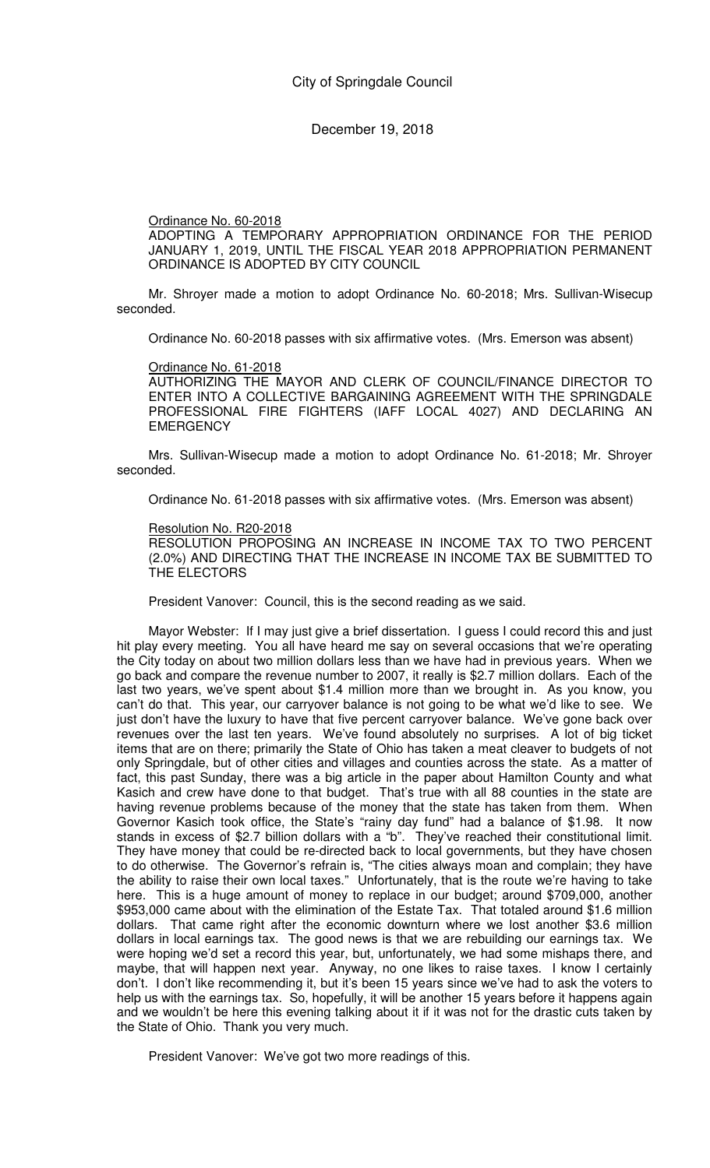## Ordinance No. 60-2018

ADOPTING A TEMPORARY APPROPRIATION ORDINANCE FOR THE PERIOD JANUARY 1, 2019, UNTIL THE FISCAL YEAR 2018 APPROPRIATION PERMANENT ORDINANCE IS ADOPTED BY CITY COUNCIL

Mr. Shroyer made a motion to adopt Ordinance No. 60-2018; Mrs. Sullivan-Wisecup seconded.

Ordinance No. 60-2018 passes with six affirmative votes. (Mrs. Emerson was absent)

## Ordinance No. 61-2018

AUTHORIZING THE MAYOR AND CLERK OF COUNCIL/FINANCE DIRECTOR TO ENTER INTO A COLLECTIVE BARGAINING AGREEMENT WITH THE SPRINGDALE PROFESSIONAL FIRE FIGHTERS (IAFF LOCAL 4027) AND DECLARING AN **EMERGENCY** 

Mrs. Sullivan-Wisecup made a motion to adopt Ordinance No. 61-2018; Mr. Shroyer seconded.

Ordinance No. 61-2018 passes with six affirmative votes. (Mrs. Emerson was absent)

### Resolution No. R20-2018

RESOLUTION PROPOSING AN INCREASE IN INCOME TAX TO TWO PERCENT (2.0%) AND DIRECTING THAT THE INCREASE IN INCOME TAX BE SUBMITTED TO THE ELECTORS

President Vanover: Council, this is the second reading as we said.

Mayor Webster: If I may just give a brief dissertation. I guess I could record this and just hit play every meeting. You all have heard me say on several occasions that we're operating the City today on about two million dollars less than we have had in previous years. When we go back and compare the revenue number to 2007, it really is \$2.7 million dollars. Each of the last two years, we've spent about \$1.4 million more than we brought in. As you know, you can't do that. This year, our carryover balance is not going to be what we'd like to see. We just don't have the luxury to have that five percent carryover balance. We've gone back over revenues over the last ten years. We've found absolutely no surprises. A lot of big ticket items that are on there; primarily the State of Ohio has taken a meat cleaver to budgets of not only Springdale, but of other cities and villages and counties across the state. As a matter of fact, this past Sunday, there was a big article in the paper about Hamilton County and what Kasich and crew have done to that budget. That's true with all 88 counties in the state are having revenue problems because of the money that the state has taken from them. When Governor Kasich took office, the State's "rainy day fund" had a balance of \$1.98. It now stands in excess of \$2.7 billion dollars with a "b". They've reached their constitutional limit. They have money that could be re-directed back to local governments, but they have chosen to do otherwise. The Governor's refrain is, "The cities always moan and complain; they have the ability to raise their own local taxes." Unfortunately, that is the route we're having to take here. This is a huge amount of money to replace in our budget; around \$709,000, another \$953,000 came about with the elimination of the Estate Tax. That totaled around \$1.6 million dollars. That came right after the economic downturn where we lost another \$3.6 million dollars in local earnings tax. The good news is that we are rebuilding our earnings tax. We were hoping we'd set a record this year, but, unfortunately, we had some mishaps there, and maybe, that will happen next year. Anyway, no one likes to raise taxes. I know I certainly don't. I don't like recommending it, but it's been 15 years since we've had to ask the voters to help us with the earnings tax. So, hopefully, it will be another 15 years before it happens again and we wouldn't be here this evening talking about it if it was not for the drastic cuts taken by the State of Ohio. Thank you very much.

President Vanover: We've got two more readings of this.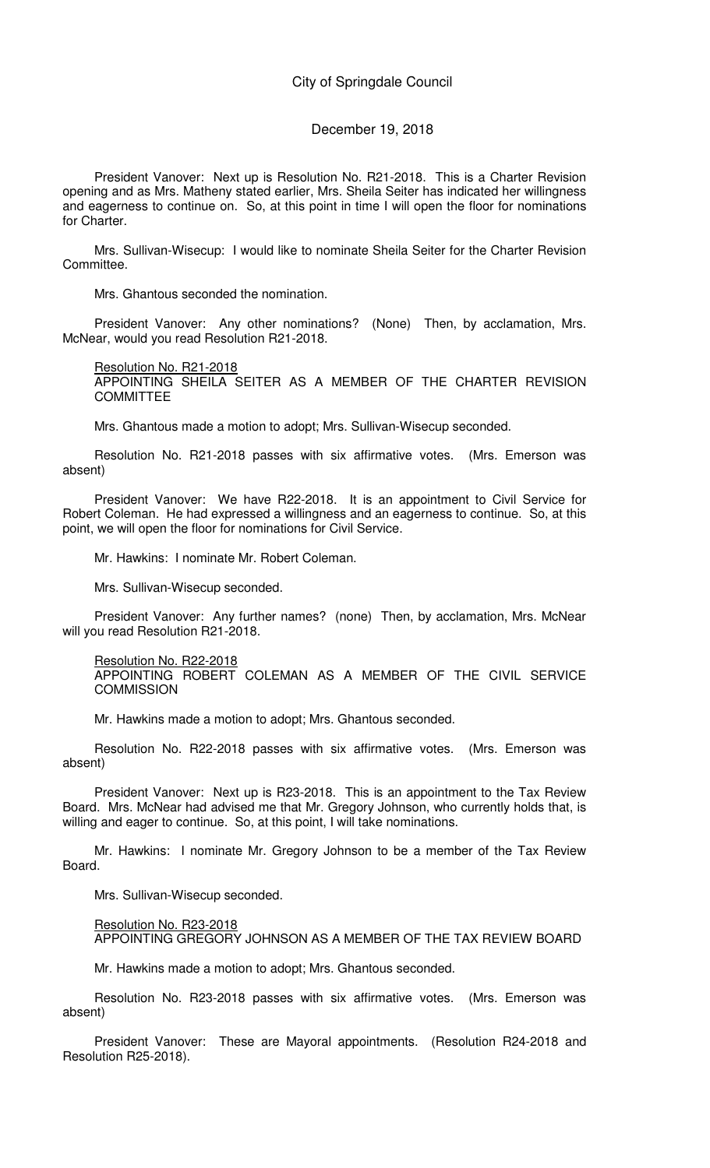## December 19, 2018

President Vanover: Next up is Resolution No. R21-2018. This is a Charter Revision opening and as Mrs. Matheny stated earlier, Mrs. Sheila Seiter has indicated her willingness and eagerness to continue on. So, at this point in time I will open the floor for nominations for Charter.

Mrs. Sullivan-Wisecup: I would like to nominate Sheila Seiter for the Charter Revision Committee.

Mrs. Ghantous seconded the nomination.

President Vanover: Any other nominations? (None) Then, by acclamation, Mrs. McNear, would you read Resolution R21-2018.

Resolution No. R21-2018 APPOINTING SHEILA SEITER AS A MEMBER OF THE CHARTER REVISION **COMMITTEE** 

Mrs. Ghantous made a motion to adopt; Mrs. Sullivan-Wisecup seconded.

Resolution No. R21-2018 passes with six affirmative votes. (Mrs. Emerson was absent)

President Vanover: We have R22-2018. It is an appointment to Civil Service for Robert Coleman. He had expressed a willingness and an eagerness to continue. So, at this point, we will open the floor for nominations for Civil Service.

Mr. Hawkins: I nominate Mr. Robert Coleman.

Mrs. Sullivan-Wisecup seconded.

President Vanover: Any further names? (none) Then, by acclamation, Mrs. McNear will you read Resolution R21-2018.

Resolution No. R22-2018

APPOINTING ROBERT COLEMAN AS A MEMBER OF THE CIVIL SERVICE **COMMISSION** 

Mr. Hawkins made a motion to adopt; Mrs. Ghantous seconded.

Resolution No. R22-2018 passes with six affirmative votes. (Mrs. Emerson was absent)

President Vanover: Next up is R23-2018. This is an appointment to the Tax Review Board. Mrs. McNear had advised me that Mr. Gregory Johnson, who currently holds that, is willing and eager to continue. So, at this point, I will take nominations.

Mr. Hawkins: I nominate Mr. Gregory Johnson to be a member of the Tax Review Board.

Mrs. Sullivan-Wisecup seconded.

Resolution No. R23-2018 APPOINTING GREGORY JOHNSON AS A MEMBER OF THE TAX REVIEW BOARD

Mr. Hawkins made a motion to adopt; Mrs. Ghantous seconded.

Resolution No. R23-2018 passes with six affirmative votes. (Mrs. Emerson was absent)

President Vanover: These are Mayoral appointments. (Resolution R24-2018 and Resolution R25-2018).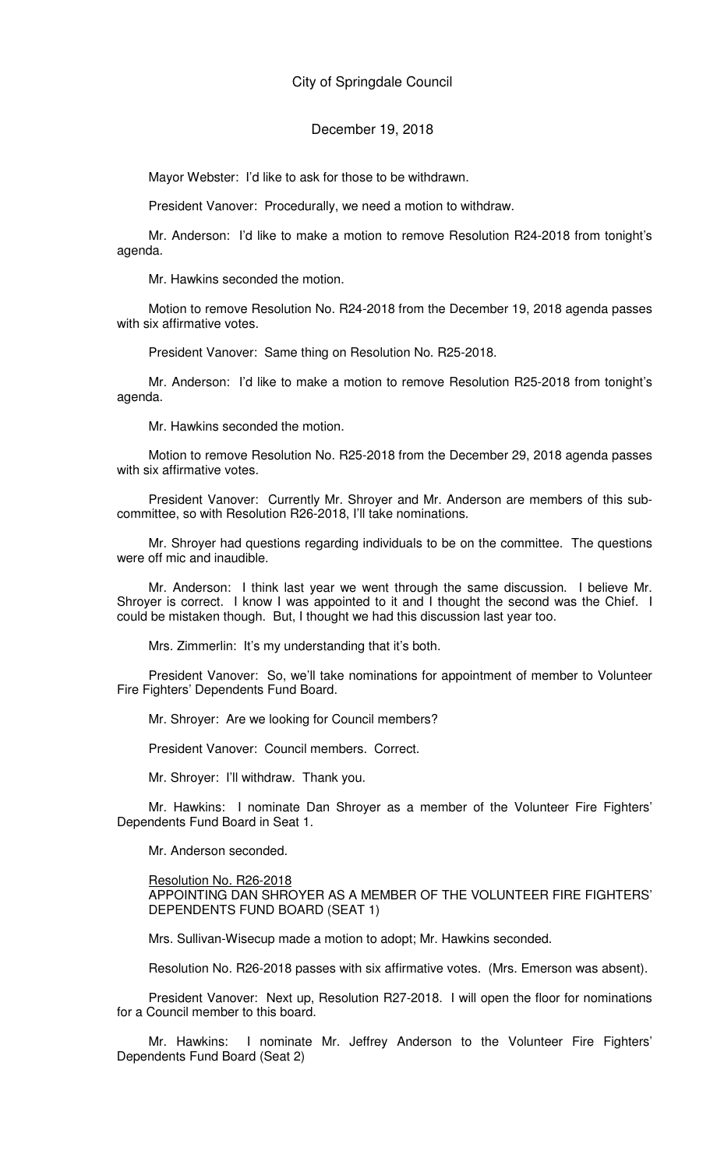Mayor Webster: I'd like to ask for those to be withdrawn.

President Vanover: Procedurally, we need a motion to withdraw.

Mr. Anderson: I'd like to make a motion to remove Resolution R24-2018 from tonight's agenda.

Mr. Hawkins seconded the motion.

Motion to remove Resolution No. R24-2018 from the December 19, 2018 agenda passes with six affirmative votes.

President Vanover: Same thing on Resolution No. R25-2018.

Mr. Anderson: I'd like to make a motion to remove Resolution R25-2018 from tonight's agenda.

Mr. Hawkins seconded the motion.

Motion to remove Resolution No. R25-2018 from the December 29, 2018 agenda passes with six affirmative votes.

President Vanover: Currently Mr. Shroyer and Mr. Anderson are members of this subcommittee, so with Resolution R26-2018, I'll take nominations.

Mr. Shroyer had questions regarding individuals to be on the committee. The questions were off mic and inaudible.

Mr. Anderson: I think last year we went through the same discussion. I believe Mr. Shroyer is correct. I know I was appointed to it and I thought the second was the Chief. I could be mistaken though. But, I thought we had this discussion last year too.

Mrs. Zimmerlin: It's my understanding that it's both.

President Vanover: So, we'll take nominations for appointment of member to Volunteer Fire Fighters' Dependents Fund Board.

Mr. Shroyer: Are we looking for Council members?

President Vanover: Council members. Correct.

Mr. Shroyer: I'll withdraw. Thank you.

Mr. Hawkins: I nominate Dan Shroyer as a member of the Volunteer Fire Fighters' Dependents Fund Board in Seat 1.

Mr. Anderson seconded.

## Resolution No. R26-2018

APPOINTING DAN SHROYER AS A MEMBER OF THE VOLUNTEER FIRE FIGHTERS' DEPENDENTS FUND BOARD (SEAT 1)

Mrs. Sullivan-Wisecup made a motion to adopt; Mr. Hawkins seconded.

Resolution No. R26-2018 passes with six affirmative votes. (Mrs. Emerson was absent).

President Vanover: Next up, Resolution R27-2018. I will open the floor for nominations for a Council member to this board.

Mr. Hawkins: I nominate Mr. Jeffrey Anderson to the Volunteer Fire Fighters' Dependents Fund Board (Seat 2)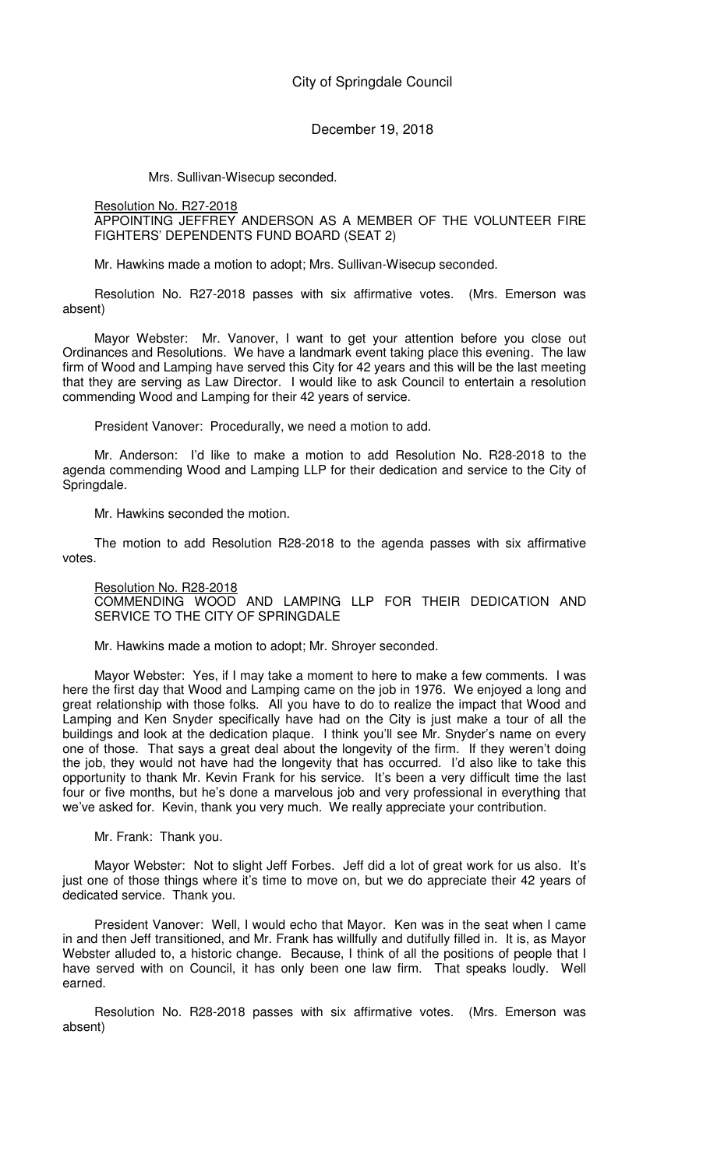Mrs. Sullivan-Wisecup seconded.

## Resolution No. R27-2018

## APPOINTING JEFFREY ANDERSON AS A MEMBER OF THE VOLUNTEER FIRE FIGHTERS' DEPENDENTS FUND BOARD (SEAT 2)

Mr. Hawkins made a motion to adopt; Mrs. Sullivan-Wisecup seconded.

Resolution No. R27-2018 passes with six affirmative votes. (Mrs. Emerson was absent)

Mayor Webster: Mr. Vanover, I want to get your attention before you close out Ordinances and Resolutions. We have a landmark event taking place this evening. The law firm of Wood and Lamping have served this City for 42 years and this will be the last meeting that they are serving as Law Director. I would like to ask Council to entertain a resolution commending Wood and Lamping for their 42 years of service.

President Vanover: Procedurally, we need a motion to add.

Mr. Anderson: I'd like to make a motion to add Resolution No. R28-2018 to the agenda commending Wood and Lamping LLP for their dedication and service to the City of Springdale.

Mr. Hawkins seconded the motion.

The motion to add Resolution R28-2018 to the agenda passes with six affirmative votes.

### Resolution No. R28-2018

COMMENDING WOOD AND LAMPING LLP FOR THEIR DEDICATION AND SERVICE TO THE CITY OF SPRINGDALE

Mr. Hawkins made a motion to adopt; Mr. Shroyer seconded.

Mayor Webster: Yes, if I may take a moment to here to make a few comments. I was here the first day that Wood and Lamping came on the job in 1976. We enjoyed a long and great relationship with those folks. All you have to do to realize the impact that Wood and Lamping and Ken Snyder specifically have had on the City is just make a tour of all the buildings and look at the dedication plaque. I think you'll see Mr. Snyder's name on every one of those. That says a great deal about the longevity of the firm. If they weren't doing the job, they would not have had the longevity that has occurred. I'd also like to take this opportunity to thank Mr. Kevin Frank for his service. It's been a very difficult time the last four or five months, but he's done a marvelous job and very professional in everything that we've asked for. Kevin, thank you very much. We really appreciate your contribution.

Mr. Frank: Thank you.

Mayor Webster: Not to slight Jeff Forbes. Jeff did a lot of great work for us also. It's just one of those things where it's time to move on, but we do appreciate their 42 years of dedicated service. Thank you.

President Vanover: Well, I would echo that Mayor. Ken was in the seat when I came in and then Jeff transitioned, and Mr. Frank has willfully and dutifully filled in. It is, as Mayor Webster alluded to, a historic change. Because, I think of all the positions of people that I have served with on Council, it has only been one law firm. That speaks loudly. Well earned.

Resolution No. R28-2018 passes with six affirmative votes. (Mrs. Emerson was absent)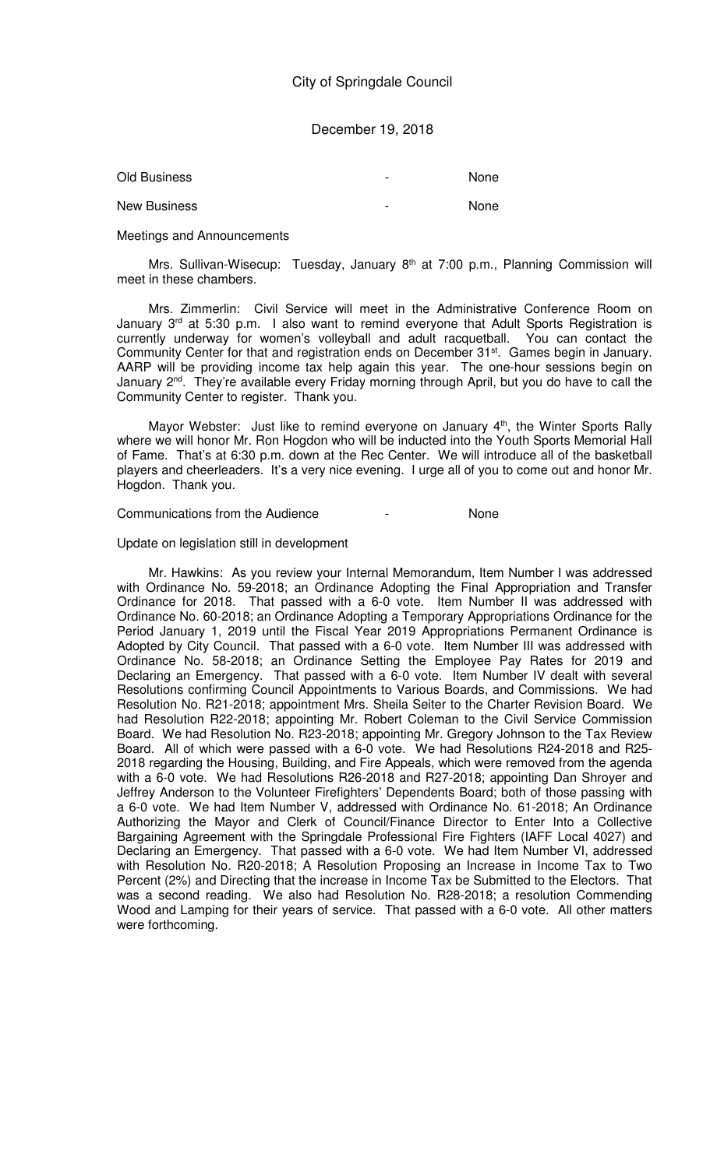| Old Business        | - | None |
|---------------------|---|------|
| <b>New Business</b> | - | None |

Meetings and Announcements

Mrs. Sullivan-Wisecup: Tuesday, January 8<sup>th</sup> at 7:00 p.m., Planning Commission will meet in these chambers.

Mrs. Zimmerlin: Civil Service will meet in the Administrative Conference Room on January 3<sup>rd</sup> at 5:30 p.m. I also want to remind everyone that Adult Sports Registration is currently underway for women's volleyball and adult racquetball. You can contact the Community Center for that and registration ends on December 31<sup>st</sup>. Games begin in January. AARP will be providing income tax help again this year. The one-hour sessions begin on January 2<sup>nd</sup>. They're available every Friday morning through April, but you do have to call the Community Center to register. Thank you.

Mayor Webster: Just like to remind everyone on January 4<sup>th</sup>, the Winter Sports Rally where we will honor Mr. Ron Hogdon who will be inducted into the Youth Sports Memorial Hall of Fame. That's at 6:30 p.m. down at the Rec Center. We will introduce all of the basketball players and cheerleaders. It's a very nice evening. I urge all of you to come out and honor Mr. Hogdon. Thank you.

Communications from the Audience - None

### Update on legislation still in development

Mr. Hawkins: As you review your Internal Memorandum, Item Number I was addressed with Ordinance No. 59-2018; an Ordinance Adopting the Final Appropriation and Transfer Ordinance for 2018. That passed with a 6-0 vote. Item Number II was addressed with Ordinance No. 60-2018; an Ordinance Adopting a Temporary Appropriations Ordinance for the Period January 1, 2019 until the Fiscal Year 2019 Appropriations Permanent Ordinance is Adopted by City Council. That passed with a 6-0 vote. Item Number III was addressed with Ordinance No. 58-2018; an Ordinance Setting the Employee Pay Rates for 2019 and Declaring an Emergency. That passed with a 6-0 vote. Item Number IV dealt with several Resolutions confirming Council Appointments to Various Boards, and Commissions. We had Resolution No. R21-2018; appointment Mrs. Sheila Seiter to the Charter Revision Board. We had Resolution R22-2018; appointing Mr. Robert Coleman to the Civil Service Commission Board. We had Resolution No. R23-2018; appointing Mr. Gregory Johnson to the Tax Review Board. All of which were passed with a 6-0 vote. We had Resolutions R24-2018 and R25- 2018 regarding the Housing, Building, and Fire Appeals, which were removed from the agenda with a 6-0 vote. We had Resolutions R26-2018 and R27-2018; appointing Dan Shroyer and Jeffrey Anderson to the Volunteer Firefighters' Dependents Board; both of those passing with a 6-0 vote. We had Item Number V, addressed with Ordinance No. 61-2018; An Ordinance Authorizing the Mayor and Clerk of Council/Finance Director to Enter Into a Collective Bargaining Agreement with the Springdale Professional Fire Fighters (IAFF Local 4027) and Declaring an Emergency. That passed with a 6-0 vote. We had Item Number VI, addressed with Resolution No. R20-2018; A Resolution Proposing an Increase in Income Tax to Two Percent (2%) and Directing that the increase in Income Tax be Submitted to the Electors. That was a second reading. We also had Resolution No. R28-2018; a resolution Commending Wood and Lamping for their years of service. That passed with a 6-0 vote. All other matters were forthcoming.